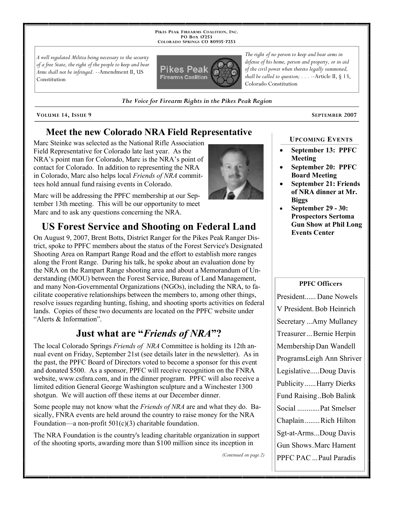**PIKES PEAK FIREARMS COALITION, INC. PO BOX 17253 COLORADO SPRINGS CO 80935 -7253**

*A well regulated Militia being necessary to the security of a free State, the right of the people to keep and bear Arms shall not be infringed.* --Amendment II, US Constitution



*shall be called to question; . . .* --Article II, § 13, Colorado Constitution

*The right of no person to keep and bear arms in defense of his home, person and property, or in aid of the civil power when thereto legally summoned,* 

*The Voice for Firearm Rights in the Pikes Peak Region*

**VOLUME 14, ISSUE 9 SEPTEMBER 2007**

### **Meet the new Colorado NRA Field Representative**

Marc Steinke was selected as the National Rifle Association Field Representative for Colorado late last year. As the NRA's point man for Colorado, Marc is the NRA's point of contact for Colorado. In addition to representing the NRA in Colorado, Marc also helps local *Friends of NRA* committees hold annual fund raising events in Colorado.

Marc will be addressing the PPFC membership at our September 13th meeting. This will be our opportunity to meet Marc and to ask any questions concerning the NRA.

## **US Forest Service and Shooting on Federal Land**

On August 9, 2007, Brent Botts, District Ranger for the Pikes Peak Ranger District, spoke to PPFC members about the status of the Forest Service's Designated Shooting Area on Rampart Range Road and the effort to establish more ranges along the Front Range. During his talk, he spoke about an evaluation done by the NRA on the Rampart Range shooting area and about a Memorandum of Understanding (MOU) between the Forest Service, Bureau of Land Management, and many Non-Governmental Organizations (NGOs), including the NRA, to facilitate cooperative relationships between the members to, among other things, resolve issues regarding hunting, fishing, and shooting sports activities on federal lands. Copies of these two documents are located on the PPFC website under "Alerts & Information".

### **Just what are "***Friends of NRA***"?**

The local Colorado Springs *Friends of NRA* Committee is holding its 12th annual event on Friday, September 21st (see details later in the newsletter). As in the past, the PPFC Board of Directors voted to become a sponsor for this event and donated \$500. As a sponsor, PPFC will receive recognition on the FNRA website, www.csfnra.com, and in the dinner program. PPFC will also receive a limited edition General George Washington sculpture and a Winchester 1300 shotgun. We will auction off these items at our December dinner.

Some people may not know what the *Friends of NRA* are and what they do. Basically, FNRA events are held around the country to raise money for the NRA Foundation—a non-profit  $501(c)(3)$  charitable foundation.

The NRA Foundation is the country's leading charitable organization in support of the shooting sports, awarding more than \$100 million since its inception in

*(Continued on page 2)*

### **UPCOMING EVENTS**

- **September 13: PPFC Meeting**
- **September 20: PPFC Board Meeting**
- **September 21: Friends of NRA dinner at Mr. Biggs**
- **September 29 30: Prospectors Sertoma Gun Show at Phil Long Events Center**

#### **PPFC Officers**

President...... Dane Nowels V President. Bob Heinrich Secretary ...Amy Mullaney Treasurer ... Bernie Herpin Membership Dan Wandell ProgramsLeigh Ann Shriver Legislative.....Doug Davis Publicity......Harry Dierks Fund Raising..Bob Balink Social ............Pat Smelser Chaplain........Rich Hilton Sgt-at-Arms...Doug Davis Gun Shows.Marc Hament PPFC PAC ...Paul Paradis